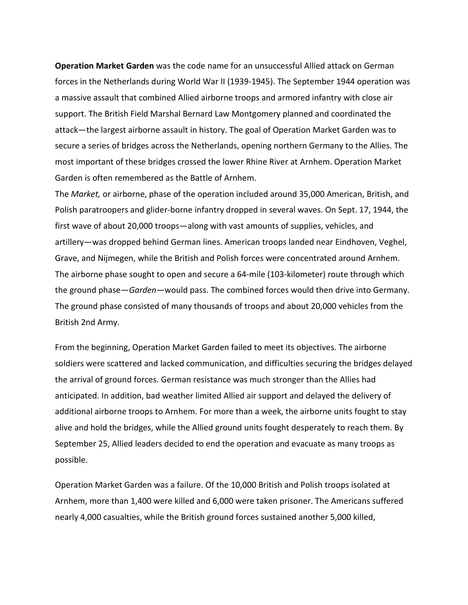**Operation Market Garden** was the code name for an unsuccessful Allied attack on German forces in the Netherlands during World War II (1939-1945). The September 1944 operation was a massive assault that combined Allied airborne troops and armored infantry with close air support. The British Field Marshal Bernard Law Montgomery planned and coordinated the attack—the largest airborne assault in history. The goal of Operation Market Garden was to secure a series of bridges across the Netherlands, opening northern Germany to the Allies. The most important of these bridges crossed the lower Rhine River at Arnhem. Operation Market Garden is often remembered as the Battle of Arnhem.

The *Market,* or airborne, phase of the operation included around 35,000 American, British, and Polish paratroopers and glider-borne infantry dropped in several waves. On Sept. 17, 1944, the first wave of about 20,000 troops—along with vast amounts of supplies, vehicles, and artillery—was dropped behind German lines. American troops landed near Eindhoven, Veghel, Grave, and Nijmegen, while the British and Polish forces were concentrated around Arnhem. The airborne phase sought to open and secure a 64-mile (103-kilometer) route through which the ground phase—*Garden*—would pass. The combined forces would then drive into Germany. The ground phase consisted of many thousands of troops and about 20,000 vehicles from the British 2nd Army.

From the beginning, Operation Market Garden failed to meet its objectives. The airborne soldiers were scattered and lacked communication, and difficulties securing the bridges delayed the arrival of ground forces. German resistance was much stronger than the Allies had anticipated. In addition, bad weather limited Allied air support and delayed the delivery of additional airborne troops to Arnhem. For more than a week, the airborne units fought to stay alive and hold the bridges, while the Allied ground units fought desperately to reach them. By September 25, Allied leaders decided to end the operation and evacuate as many troops as possible.

Operation Market Garden was a failure. Of the 10,000 British and Polish troops isolated at Arnhem, more than 1,400 were killed and 6,000 were taken prisoner. The Americans suffered nearly 4,000 casualties, while the British ground forces sustained another 5,000 killed,